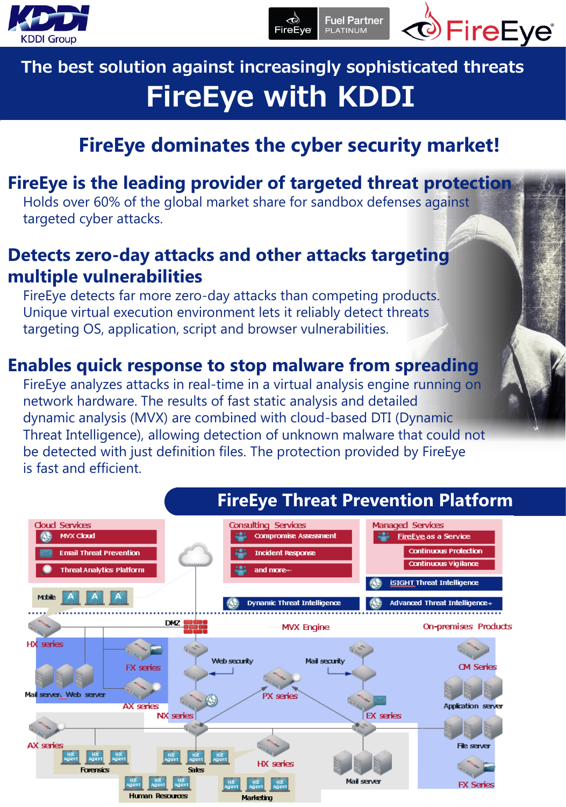



# FireEye with KDDI The best solution against increasingly sophisticated threats

# **FireEye dominates the cyber security market!**

ক্উ

FireEve

**Fuel Partner** 

**PLATINUM** 

# **FireEye is the leading provider of targeted threat protection**

 Holds over 60% of the global market share for sandbox defenses against targeted cyber attacks.

# **Detects zero-day attacks and other attacks targeting multiple vulnerabilities**

 FireEye detects far more zero-day attacks than competing products. Unique virtual execution environment lets it reliably detect threats targeting OS, application, script and browser vulnerabilities.

# **Enables quick response to stop malware from spreading**

 FireEye analyzes attacks in real-time in a virtual analysis engine running on network hardware. The results of fast static analysis and detailed dynamic analysis (MVX) are combined with cloud-based DTI (Dynamic Threat Intelligence), allowing detection of unknown malware that could not be detected with just definition files. The protection provided by FireEye is fast and efficient.